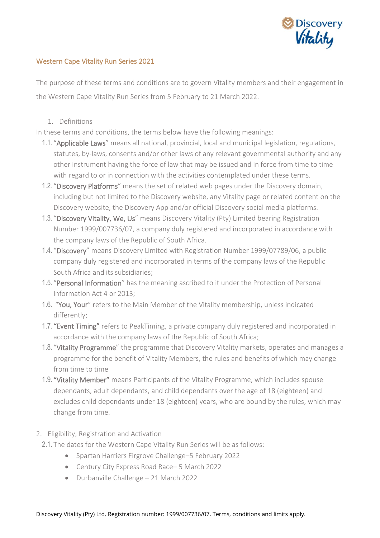

## Western Cape Vitality Run Series 2021

The purpose of these terms and conditions are to govern Vitality members and their engagement in the Western Cape Vitality Run Series from 5 February to 21 March 2022.

1. Definitions

In these terms and conditions, the terms below have the following meanings:

- 1.1. "Applicable Laws" means all national, provincial, local and municipal legislation, regulations, statutes, by-laws, consents and/or other laws of any relevant governmental authority and any other instrument having the force of law that may be issued and in force from time to time with regard to or in connection with the activities contemplated under these terms.
- 1.2. "Discovery Platforms" means the set of related web pages under the Discovery domain, including but not limited to the Discovery website, any Vitality page or related content on the Discovery website, the Discovery App and/or official Discovery social media platforms.
- 1.3. "Discovery Vitality, We, Us" means Discovery Vitality (Pty) Limited bearing Registration Number 1999/007736/07, a company duly registered and incorporated in accordance with the company laws of the Republic of South Africa.
- 1.4. "Discovery" means Discovery Limited with Registration Number 1999/07789/06, a public company duly registered and incorporated in terms of the company laws of the Republic South Africa and its subsidiaries;
- 1.5. "Personal Information" has the meaning ascribed to it under the Protection of Personal Information Act 4 or 2013;
- 1.6. "You, Your" refers to the Main Member of the Vitality membership, unless indicated differently;
- 1.7. "Event Timing" refers to PeakTiming, a private company duly registered and incorporated in accordance with the company laws of the Republic of South Africa;
- 1.8. "Vitality Programme" the programme that Discovery Vitality markets, operates and manages a programme for the benefit of Vitality Members, the rules and benefits of which may change from time to time
- 1.9. "Vitality Member" means Participants of the Vitality Programme, which includes spouse dependants, adult dependants, and child dependants over the age of 18 (eighteen) and excludes child dependants under 18 (eighteen) years, who are bound by the rules, which may change from time.
- 2. Eligibility, Registration and Activation
- 2.1. The dates for the Western Cape Vitality Run Series will be as follows:
	- Spartan Harriers Firgrove Challenge–5 February 2022
	- Century City Express Road Race– 5 March 2022
	- Durbanville Challenge 21 March 2022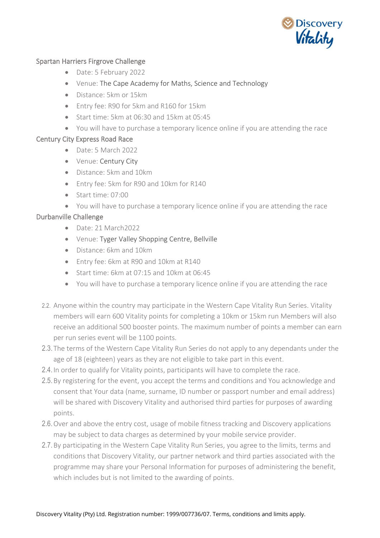

## Spartan Harriers Firgrove Challenge

- Date: 5 February 2022
- Venue: The Cape Academy for Maths, Science and Technology
- Distance: 5km or 15km
- Entry fee: R90 for 5km and R160 for 15km
- Start time: 5km at 06:30 and 15km at 05:45
- You will have to purchase a temporary licence online if you are attending the race

## Century City Express Road Race

- Date: 5 March 2022
- Venue: Century City
- Distance: 5km and 10km
- Entry fee: 5km for R90 and 10km for R140
- Start time: 07:00
- You will have to purchase a temporary licence online if you are attending the race

## Durbanville Challenge

- Date: 21 March2022
- Venue: Tyger Valley Shopping Centre, Bellville
- Distance: 6km and 10km
- Entry fee: 6km at R90 and 10km at R140
- Start time: 6km at 07:15 and 10km at 06:45
- You will have to purchase a temporary licence online if you are attending the race
- 2.2. Anyone within the country may participate in the Western Cape Vitality Run Series. Vitality members will earn 600 Vitality points for completing a 10km or 15km run Members will also receive an additional 500 booster points. The maximum number of points a member can earn per run series event will be 1100 points.
- 2.3. The terms of the Western Cape Vitality Run Series do not apply to any dependants under the age of 18 (eighteen) years as they are not eligible to take part in this event.
- 2.4. In order to qualify for Vitality points, participants will have to complete the race.
- 2.5.By registering for the event, you accept the terms and conditions and You acknowledge and consent that Your data (name, surname, ID number or passport number and email address) will be shared with Discovery Vitality and authorised third parties for purposes of awarding points.
- 2.6.Over and above the entry cost, usage of mobile fitness tracking and Discovery applications may be subject to data charges as determined by your mobile service provider.
- 2.7.By participating in the Western Cape Vitality Run Series, you agree to the limits, terms and conditions that Discovery Vitality, our partner network and third parties associated with the programme may share your Personal Information for purposes of administering the benefit, which includes but is not limited to the awarding of points.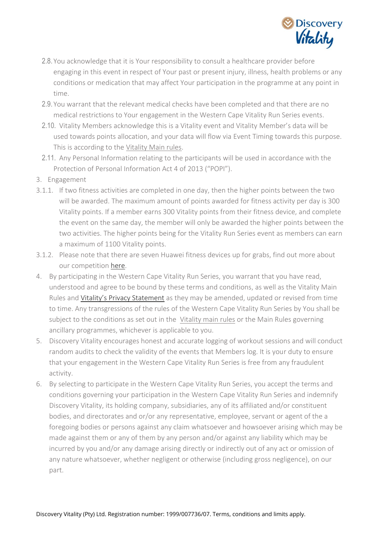

- 2.8. You acknowledge that it is Your responsibility to consult a healthcare provider before engaging in this event in respect of Your past or present injury, illness, health problems or any conditions or medication that may affect Your participation in the programme at any point in time.
- 2.9. You warrant that the relevant medical checks have been completed and that there are no medical restrictions to Your engagement in the Western Cape Vitality Run Series events.
- 2.10. Vitality Members acknowledge this is a Vitality event and Vitality Member's data will be used towards points allocation, and your data will flow via Event Timing towards this purpose. This is according to the [Vitality Main rules.](https://www.discovery.co.za/portal/individual/vitality-rules)
- 2.11. Any Personal Information relating to the participants will be used in accordance with the Protection of Personal Information Act 4 of 2013 ("POPI").
- 3. Engagement
- 3.1.1. If two fitness activities are completed in one day, then the higher points between the two will be awarded. The maximum amount of points awarded for fitness activity per day is 300 Vitality points. If a member earns 300 Vitality points from their fitness device, and complete the event on the same day, the member will only be awarded the higher points between the two activities. The higher points being for the Vitality Run Series event as members can earn a maximum of 1100 Vitality points.
- 3.1.2. Please note that there are seven Huawei fitness devices up for grabs, find out more about our competition [here.](https://www.discovery.co.za/site/preview/binaries/content/documents/managedcontent/discoverycoza/assets/vitality/terms-and-conditions/western-cape-vvrs-prize.pdf/western-cape-vvrs-prize.pdf/contentdelivery%3Abinary)
- 4. By participating in the Western Cape Vitality Run Series, you warrant that you have read, understood and agree to be bound by these terms and conditions, as well as the Vitality Main Rules and [Vitality's Privacy Statement](https://www.discovery.co.za/discovery_coza/web/linked_content/pdfs/general/discovery_vitality_privacy_statement.pdf) as they may be amended, updated or revised from time to time. Any transgressions of the rules of the Western Cape Vitality Run Series by You shall be subject to the conditions as set out in the [Vitality main rules](https://www.discovery.co.za/portal/individual/vitality-rules) or the Main Rules governing ancillary programmes, whichever is applicable to you.
- 5. Discovery Vitality encourages honest and accurate logging of workout sessions and will conduct random audits to check the validity of the events that Members log. It is your duty to ensure that your engagement in the Western Cape Vitality Run Series is free from any fraudulent activity.
- 6. By selecting to participate in the Western Cape Vitality Run Series, you accept the terms and conditions governing your participation in the Western Cape Vitality Run Series and indemnify Discovery Vitality, its holding company, subsidiaries, any of its affiliated and/or constituent bodies, and directorates and or/or any representative, employee, servant or agent of the a foregoing bodies or persons against any claim whatsoever and howsoever arising which may be made against them or any of them by any person and/or against any liability which may be incurred by you and/or any damage arising directly or indirectly out of any act or omission of any nature whatsoever, whether negligent or otherwise (including gross negligence), on our part.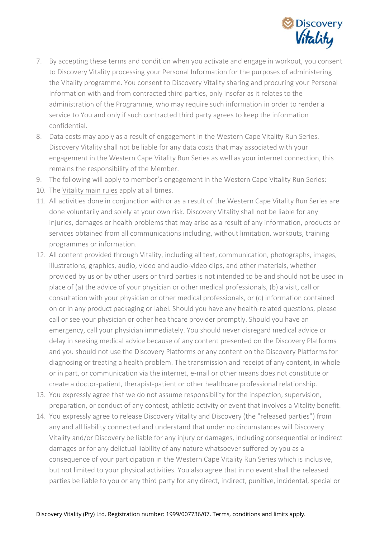

- 7. By accepting these terms and condition when you activate and engage in workout, you consent to Discovery Vitality processing your Personal Information for the purposes of administering the Vitality programme. You consent to Discovery Vitality sharing and procuring your Personal Information with and from contracted third parties, only insofar as it relates to the administration of the Programme, who may require such information in order to render a service to You and only if such contracted third party agrees to keep the information confidential.
- 8. Data costs may apply as a result of engagement in the Western Cape Vitality Run Series. Discovery Vitality shall not be liable for any data costs that may associated with your engagement in the Western Cape Vitality Run Series as well as your internet connection, this remains the responsibility of the Member.
- 9. The following will apply to member's engagement in the Western Cape Vitality Run Series:
- 10. The [Vitality main rules](https://www.discovery.co.za/portal/individual/vitality-rules) apply at all times.
- 11. All activities done in conjunction with or as a result of the Western Cape Vitality Run Series are done voluntarily and solely at your own risk. Discovery Vitality shall not be liable for any injuries, damages or health problems that may arise as a result of any information, products or services obtained from all communications including, without limitation, workouts, training programmes or information.
- 12. All content provided through Vitality, including all text, communication, photographs, images, illustrations, graphics, audio, video and audio-video clips, and other materials, whether provided by us or by other users or third parties is not intended to be and should not be used in place of (a) the advice of your physician or other medical professionals, (b) a visit, call or consultation with your physician or other medical professionals, or (c) information contained on or in any product packaging or label. Should you have any health-related questions, please call or see your physician or other healthcare provider promptly. Should you have an emergency, call your physician immediately. You should never disregard medical advice or delay in seeking medical advice because of any content presented on the Discovery Platforms and you should not use the Discovery Platforms or any content on the Discovery Platforms for diagnosing or treating a health problem. The transmission and receipt of any content, in whole or in part, or communication via the internet, e-mail or other means does not constitute or create a doctor-patient, therapist-patient or other healthcare professional relationship.
- 13. You expressly agree that we do not assume responsibility for the inspection, supervision, preparation, or conduct of any contest, athletic activity or event that involves a Vitality benefit.
- 14. You expressly agree to release Discovery Vitality and Discovery (the "released parties") from any and all liability connected and understand that under no circumstances will Discovery Vitality and/or Discovery be liable for any injury or damages, including consequential or indirect damages or for any delictual liability of any nature whatsoever suffered by you as a consequence of your participation in the Western Cape Vitality Run Series which is inclusive, but not limited to your physical activities. You also agree that in no event shall the released parties be liable to you or any third party for any direct, indirect, punitive, incidental, special or